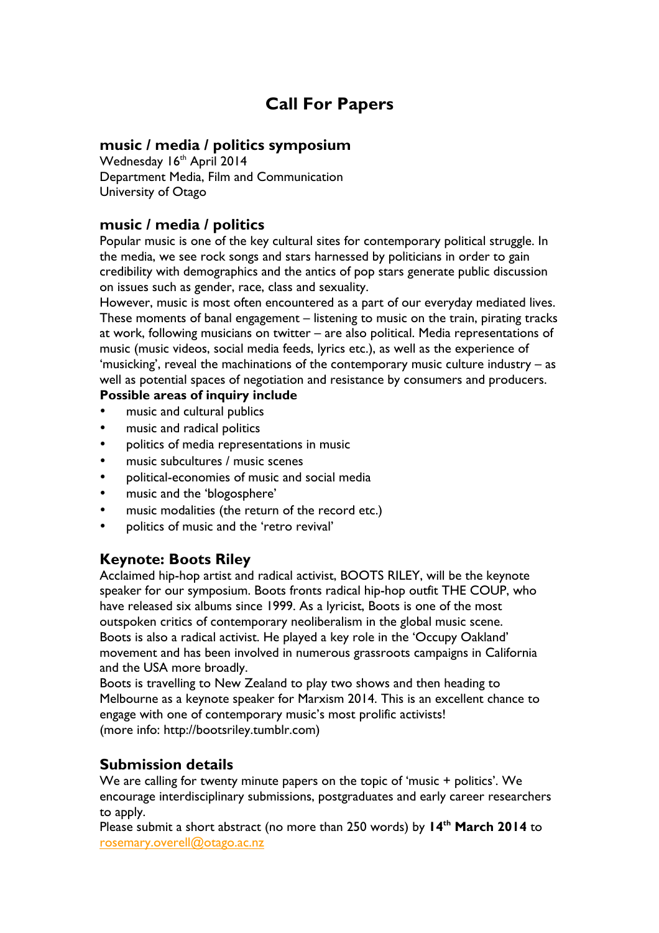# **Call For Papers**

#### **music / media / politics symposium**

Wednesday 16th April 2014 Department Media, Film and Communication University of Otago

#### **music / media / politics**

Popular music is one of the key cultural sites for contemporary political struggle. In the media, we see rock songs and stars harnessed by politicians in order to gain credibility with demographics and the antics of pop stars generate public discussion on issues such as gender, race, class and sexuality.

However, music is most often encountered as a part of our everyday mediated lives. These moments of banal engagement – listening to music on the train, pirating tracks at work, following musicians on twitter – are also political. Media representations of music (music videos, social media feeds, lyrics etc.), as well as the experience of 'musicking', reveal the machinations of the contemporary music culture industry – as well as potential spaces of negotiation and resistance by consumers and producers.

#### **Possible areas of inquiry include**

- music and cultural publics
- music and radical politics
- politics of media representations in music
- music subcultures / music scenes
- political-economies of music and social media
- music and the 'blogosphere'
- music modalities (the return of the record etc.)
- politics of music and the 'retro revival'

#### **Keynote: Boots Riley**

Acclaimed hip-hop artist and radical activist, BOOTS RILEY, will be the keynote speaker for our symposium. Boots fronts radical hip-hop outfit THE COUP, who have released six albums since 1999. As a lyricist, Boots is one of the most outspoken critics of contemporary neoliberalism in the global music scene. Boots is also a radical activist. He played a key role in the 'Occupy Oakland' movement and has been involved in numerous grassroots campaigns in California and the USA more broadly.

Boots is travelling to New Zealand to play two shows and then heading to Melbourne as a keynote speaker for Marxism 2014. This is an excellent chance to engage with one of contemporary music's most prolific activists! (more info: http://bootsriley.tumblr.com)

#### **Submission details**

We are calling for twenty minute papers on the topic of 'music + politics'. We encourage interdisciplinary submissions, postgraduates and early career researchers to apply.

Please submit a short abstract (no more than 250 words) by **14th March 2014** to rosemary.overell@otago.ac.nz